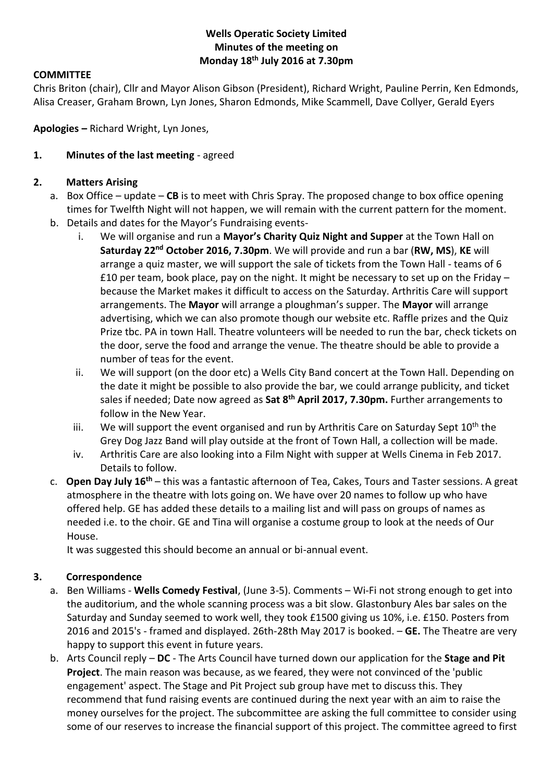### **Wells Operatic Society Limited Minutes of the meeting on Monday 18th July 2016 at 7.30pm**

### **COMMITTEE**

Chris Briton (chair), Cllr and Mayor Alison Gibson (President), Richard Wright, Pauline Perrin, Ken Edmonds, Alisa Creaser, Graham Brown, Lyn Jones, Sharon Edmonds, Mike Scammell, Dave Collyer, Gerald Eyers

**Apologies –** Richard Wright, Lyn Jones,

#### **1. Minutes of the last meeting** - agreed

#### **2. Matters Arising**

- a. Box Office update **CB** is to meet with Chris Spray. The proposed change to box office opening times for Twelfth Night will not happen, we will remain with the current pattern for the moment.
- b. Details and dates for the Mayor's Fundraising events
	- i. We will organise and run a **Mayor's Charity Quiz Night and Supper** at the Town Hall on **Saturday 22nd October 2016, 7.30pm**. We will provide and run a bar (**RW, MS**), **KE** will arrange a quiz master, we will support the sale of tickets from the Town Hall - teams of 6 £10 per team, book place, pay on the night. It might be necessary to set up on the Friday – because the Market makes it difficult to access on the Saturday. Arthritis Care will support arrangements. The **Mayor** will arrange a ploughman's supper. The **Mayor** will arrange advertising, which we can also promote though our website etc. Raffle prizes and the Quiz Prize tbc. PA in town Hall. Theatre volunteers will be needed to run the bar, check tickets on the door, serve the food and arrange the venue. The theatre should be able to provide a number of teas for the event.
	- ii. We will support (on the door etc) a Wells City Band concert at the Town Hall. Depending on the date it might be possible to also provide the bar, we could arrange publicity, and ticket sales if needed; Date now agreed as **Sat 8th April 2017, 7.30pm.** Further arrangements to follow in the New Year.
	- iii. We will support the event organised and run by Arthritis Care on Saturday Sept  $10^{th}$  the Grey Dog Jazz Band will play outside at the front of Town Hall, a collection will be made.
	- iv. Arthritis Care are also looking into a Film Night with supper at Wells Cinema in Feb 2017. Details to follow.
- c. **Open Day July 16th** this was a fantastic afternoon of Tea, Cakes, Tours and Taster sessions. A great atmosphere in the theatre with lots going on. We have over 20 names to follow up who have offered help. GE has added these details to a mailing list and will pass on groups of names as needed i.e. to the choir. GE and Tina will organise a costume group to look at the needs of Our House.

It was suggested this should become an annual or bi-annual event.

### **3. Correspondence**

- a. Ben Williams **Wells Comedy Festival**, (June 3-5). Comments Wi-Fi not strong enough to get into the auditorium, and the whole scanning process was a bit slow. Glastonbury Ales bar sales on the Saturday and Sunday seemed to work well, they took £1500 giving us 10%, i.e. £150. Posters from 2016 and 2015's - framed and displayed. 26th-28th May 2017 is booked. – **GE.** The Theatre are very happy to support this event in future years.
- b. Arts Council reply **DC** The Arts Council have turned down our application for the **Stage and Pit Project**. The main reason was because, as we feared, they were not convinced of the 'public engagement' aspect. The Stage and Pit Project sub group have met to discuss this. They recommend that fund raising events are continued during the next year with an aim to raise the money ourselves for the project. The subcommittee are asking the full committee to consider using some of our reserves to increase the financial support of this project. The committee agreed to first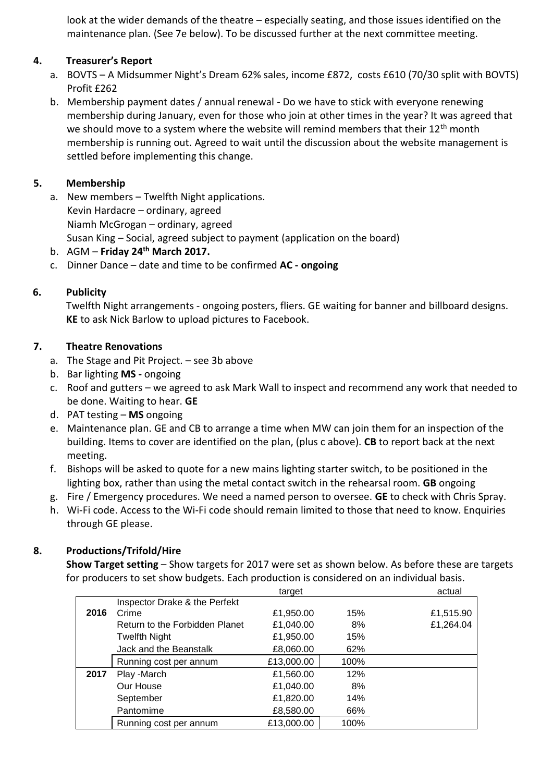look at the wider demands of the theatre – especially seating, and those issues identified on the maintenance plan. (See 7e below). To be discussed further at the next committee meeting.

## **4. Treasurer's Report**

- a. BOVTS A Midsummer Night's Dream 62% sales, income £872, costs £610 (70/30 split with BOVTS) Profit £262
- b. Membership payment dates / annual renewal Do we have to stick with everyone renewing membership during January, even for those who join at other times in the year? It was agreed that we should move to a system where the website will remind members that their  $12<sup>th</sup>$  month membership is running out. Agreed to wait until the discussion about the website management is settled before implementing this change.

# **5. Membership**

- a. New members Twelfth Night applications. Kevin Hardacre – ordinary, agreed Niamh McGrogan – ordinary, agreed Susan King – Social, agreed subject to payment (application on the board)
- b. AGM **Friday 24th March 2017.**
- c. Dinner Dance date and time to be confirmed **AC - ongoing**

## **6. Publicity**

Twelfth Night arrangements - ongoing posters, fliers. GE waiting for banner and billboard designs. **KE** to ask Nick Barlow to upload pictures to Facebook.

### **7. Theatre Renovations**

- a. The Stage and Pit Project. see 3b above
- b. Bar lighting **MS -** ongoing
- c. Roof and gutters we agreed to ask Mark Wall to inspect and recommend any work that needed to be done. Waiting to hear. **GE**
- d. PAT testing **MS** ongoing
- e. Maintenance plan. GE and CB to arrange a time when MW can join them for an inspection of the building. Items to cover are identified on the plan, (plus c above). **CB** to report back at the next meeting.
- f. Bishops will be asked to quote for a new mains lighting starter switch, to be positioned in the lighting box, rather than using the metal contact switch in the rehearsal room. **GB** ongoing
- g. Fire / Emergency procedures. We need a named person to oversee. **GE** to check with Chris Spray.
- h. Wi-Fi code. Access to the Wi-Fi code should remain limited to those that need to know. Enquiries through GE please.

# **8. Productions/Trifold/Hire**

**Show Target setting** – Show targets for 2017 were set as shown below. As before these are targets for producers to set show budgets. Each production is considered on an individual basis.

|      |                                | target     |      | actual    |
|------|--------------------------------|------------|------|-----------|
|      | Inspector Drake & the Perfekt  |            |      |           |
| 2016 | Crime                          | £1,950.00  | 15%  | £1,515.90 |
|      | Return to the Forbidden Planet | £1,040.00  | 8%   | £1,264.04 |
|      | <b>Twelfth Night</b>           | £1,950.00  | 15%  |           |
|      | Jack and the Beanstalk         | £8,060.00  | 62%  |           |
|      | Running cost per annum         | £13,000.00 | 100% |           |
| 2017 | Play -March                    | £1,560.00  | 12%  |           |
|      | Our House                      | £1,040.00  | 8%   |           |
|      | September                      | £1,820.00  | 14%  |           |
|      | Pantomime                      | £8,580.00  | 66%  |           |
|      | Running cost per annum         | £13,000.00 | 100% |           |